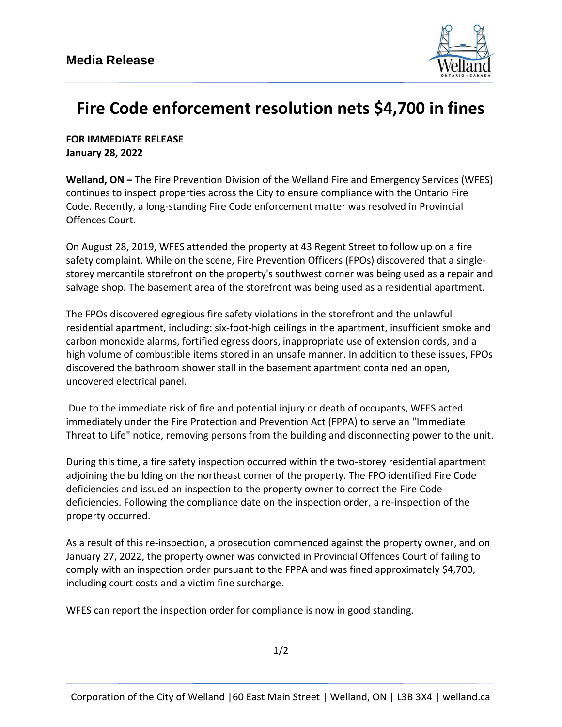

## **Fire Code enforcement resolution nets \$4,700 in fines**

**FOR IMMEDIATE RELEASE January 28, 2022**

**Welland, ON –** The Fire Prevention Division of the Welland Fire and Emergency Services (WFES) continues to inspect properties across the City to ensure compliance with the Ontario Fire Code. Recently, a long-standing Fire Code enforcement matter was resolved in Provincial Offences Court.

On August 28, 2019, WFES attended the property at 43 Regent Street to follow up on a fire safety complaint. While on the scene, Fire Prevention Officers (FPOs) discovered that a singlestorey mercantile storefront on the property's southwest corner was being used as a repair and salvage shop. The basement area of the storefront was being used as a residential apartment.

The FPOs discovered egregious fire safety violations in the storefront and the unlawful residential apartment, including: six-foot-high ceilings in the apartment, insufficient smoke and carbon monoxide alarms, fortified egress doors, inappropriate use of extension cords, and a high volume of combustible items stored in an unsafe manner. In addition to these issues, FPOs discovered the bathroom shower stall in the basement apartment contained an open, uncovered electrical panel.

Due to the immediate risk of fire and potential injury or death of occupants, WFES acted immediately under the Fire Protection and Prevention Act (FPPA) to serve an "Immediate Threat to Life" notice, removing persons from the building and disconnecting power to the unit.

During this time, a fire safety inspection occurred within the two-storey residential apartment adjoining the building on the northeast corner of the property. The FPO identified Fire Code deficiencies and issued an inspection to the property owner to correct the Fire Code deficiencies. Following the compliance date on the inspection order, a re-inspection of the property occurred.

As a result of this re-inspection, a prosecution commenced against the property owner, and on January 27, 2022, the property owner was convicted in Provincial Offences Court of failing to comply with an inspection order pursuant to the FPPA and was fined approximately \$4,700, including court costs and a victim fine surcharge.

WFES can report the inspection order for compliance is now in good standing.